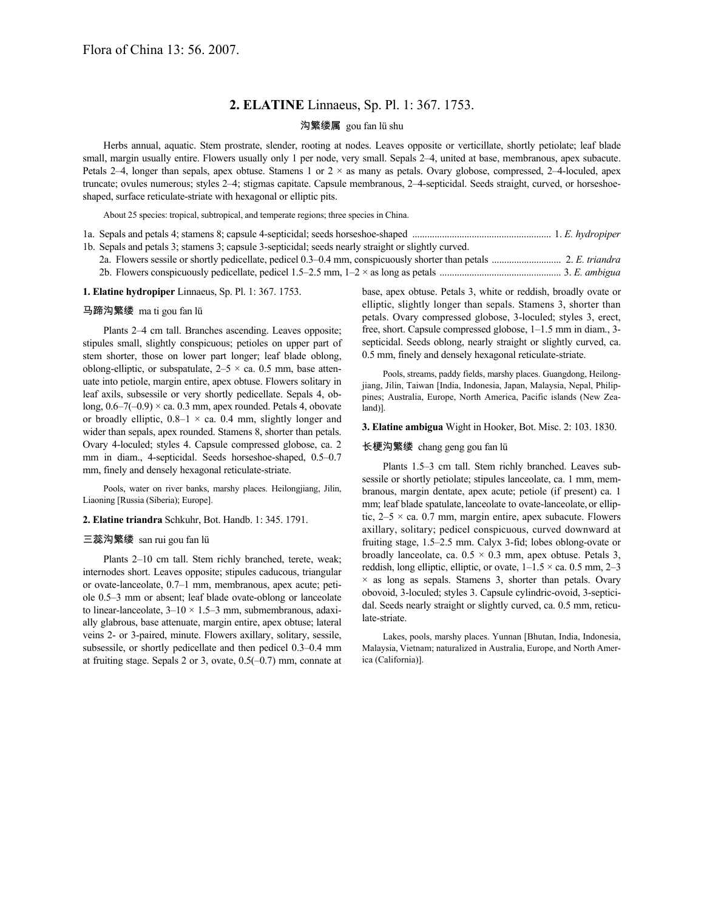# **2. ELATINE** Linnaeus, Sp. Pl. 1: 367. 1753.

# 沟繁缕属 gou fan lü shu

Herbs annual, aquatic. Stem prostrate, slender, rooting at nodes. Leaves opposite or verticillate, shortly petiolate; leaf blade small, margin usually entire. Flowers usually only 1 per node, very small. Sepals 2–4, united at base, membranous, apex subacute. Petals 2–4, longer than sepals, apex obtuse. Stamens 1 or  $2 \times$  as many as petals. Ovary globose, compressed, 2–4-loculed, apex truncate; ovules numerous; styles 2–4; stigmas capitate. Capsule membranous, 2–4-septicidal. Seeds straight, curved, or horseshoeshaped, surface reticulate-striate with hexagonal or elliptic pits.

About 25 species: tropical, subtropical, and temperate regions; three species in China.

| 1b. Sepals and petals 3; stamens 3; capsule 3-septicidal; seeds nearly straight or slightly curved.      |  |
|----------------------------------------------------------------------------------------------------------|--|
| 2. E. triandra 2. E. triandra 2. E. triandra 2. E. triandra 2. E. triandra 2. E. triandra 2. E. triandra |  |
|                                                                                                          |  |

## **1. Elatine hydropiper** Linnaeus, Sp. Pl. 1: 367. 1753.

### 马蹄沟繁缕 ma ti gou fan lü

Plants 2–4 cm tall. Branches ascending. Leaves opposite; stipules small, slightly conspicuous; petioles on upper part of stem shorter, those on lower part longer; leaf blade oblong, oblong-elliptic, or subspatulate,  $2-5 \times ca$ . 0.5 mm, base attenuate into petiole, margin entire, apex obtuse. Flowers solitary in leaf axils, subsessile or very shortly pedicellate. Sepals 4, oblong,  $0.6-7(-0.9) \times$  ca. 0.3 mm, apex rounded. Petals 4, obovate or broadly elliptic,  $0.8-1 \times$  ca. 0.4 mm, slightly longer and wider than sepals, apex rounded. Stamens 8, shorter than petals. Ovary 4-loculed; styles 4. Capsule compressed globose, ca. 2 mm in diam., 4-septicidal. Seeds horseshoe-shaped, 0.5–0.7 mm, finely and densely hexagonal reticulate-striate.

Pools, water on river banks, marshy places. Heilongjiang, Jilin, Liaoning [Russia (Siberia); Europe].

### **2. Elatine triandra** Schkuhr, Bot. Handb. 1: 345. 1791.

#### 三蕊沟繁缕 san rui gou fan lü

Plants 2–10 cm tall. Stem richly branched, terete, weak; internodes short. Leaves opposite; stipules caducous, triangular or ovate-lanceolate, 0.7–1 mm, membranous, apex acute; petiole 0.5–3 mm or absent; leaf blade ovate-oblong or lanceolate to linear-lanceolate,  $3-10 \times 1.5-3$  mm, submembranous, adaxially glabrous, base attenuate, margin entire, apex obtuse; lateral veins 2- or 3-paired, minute. Flowers axillary, solitary, sessile, subsessile, or shortly pedicellate and then pedicel 0.3–0.4 mm at fruiting stage. Sepals 2 or 3, ovate, 0.5(–0.7) mm, connate at base, apex obtuse. Petals 3, white or reddish, broadly ovate or elliptic, slightly longer than sepals. Stamens 3, shorter than petals. Ovary compressed globose, 3-loculed; styles 3, erect, free, short. Capsule compressed globose, 1–1.5 mm in diam., 3 septicidal. Seeds oblong, nearly straight or slightly curved, ca. 0.5 mm, finely and densely hexagonal reticulate-striate.

Pools, streams, paddy fields, marshy places. Guangdong, Heilongjiang, Jilin, Taiwan [India, Indonesia, Japan, Malaysia, Nepal, Philippines; Australia, Europe, North America, Pacific islands (New Zealand)].

#### **3. Elatine ambigua** Wight in Hooker, Bot. Misc. 2: 103. 1830.

## 长梗沟繁缕 chang geng gou fan lü

Plants 1.5–3 cm tall. Stem richly branched. Leaves subsessile or shortly petiolate; stipules lanceolate, ca. 1 mm, membranous, margin dentate, apex acute; petiole (if present) ca. 1 mm; leaf blade spatulate, lanceolate to ovate-lanceolate, or elliptic,  $2-5 \times$  ca. 0.7 mm, margin entire, apex subacute. Flowers axillary, solitary; pedicel conspicuous, curved downward at fruiting stage, 1.5–2.5 mm. Calyx 3-fid; lobes oblong-ovate or broadly lanceolate, ca.  $0.5 \times 0.3$  mm, apex obtuse. Petals 3, reddish, long elliptic, elliptic, or ovate,  $1-1.5 \times$  ca. 0.5 mm, 2-3  $\times$  as long as sepals. Stamens 3, shorter than petals. Ovary obovoid, 3-loculed; styles 3. Capsule cylindric-ovoid, 3-septicidal. Seeds nearly straight or slightly curved, ca. 0.5 mm, reticulate-striate.

Lakes, pools, marshy places. Yunnan [Bhutan, India, Indonesia, Malaysia, Vietnam; naturalized in Australia, Europe, and North America (California)].